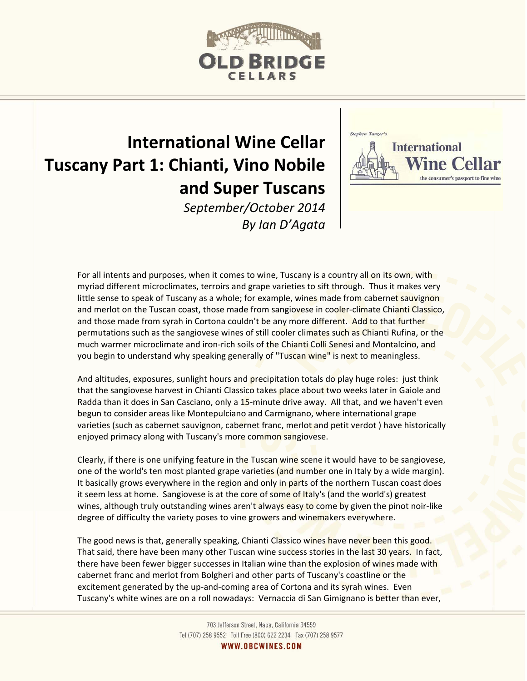

## **International Wine Cellar Tuscany Part 1: Chianti, Vino Nobile and Super Tuscans**





For all intents and purposes, when it comes to wine, Tuscany is a country all on its own, with myriad different microclimates, terroirs and grape varieties to sift through. Thus it makes very little sense to speak of Tuscany as a whole; for example, wines made from cabernet sauvignon and merlot on the Tuscan coast, those made from sangiovese in cooler-climate Chianti Classico, and those made from syrah in Cortona couldn't be any more different. Add to that further permutations such as the sangiovese wines of still cooler climates such as Chianti Rufina, or the much warmer microclimate and iron-rich soils of the Chianti Colli Senesi and Montalcino, and you begin to understand why speaking generally of "Tuscan wine" is next to meaningless.

And altitudes, exposures, sunlight hours and precipitation totals do play huge roles: just think that the sangiovese harvest in Chianti Classico takes place about two weeks later in Gaiole and Radda than it does in San Casciano, only a 15-minute drive away. All that, and we haven't even begun to consider areas like Montepulciano and Carmignano, where international grape varieties (such as cabernet sauvignon, cabernet franc, merlot and petit verdot ) have historically enjoyed primacy along with Tuscany's more common sangiovese.

Clearly, if there is one unifying feature in the Tuscan wine scene it would have to be sangiovese, one of the world's ten most planted grape varieties (and number one in Italy by a wide margin). It basically grows everywhere in the region and only in parts of the northern Tuscan coast does it seem less at home. Sangiovese is at the core of some of Italy's (and the world's) greatest wines, although truly outstanding wines aren't always easy to come by given the pinot noir-like degree of difficulty the variety poses to vine growers and winemakers everywhere.

The good news is that, generally speaking, Chianti Classico wines have never been this good. That said, there have been many other Tuscan wine success stories in the last 30 years. In fact, there have been fewer bigger successes in Italian wine than the explosion of wines made with cabernet franc and merlot from Bolgheri and other parts of Tuscany's coastline or the excitement generated by the up-and-coming area of Cortona and its syrah wines. Even Tuscany's white wines are on a roll nowadays: Vernaccia di San Gimignano is better than ever,